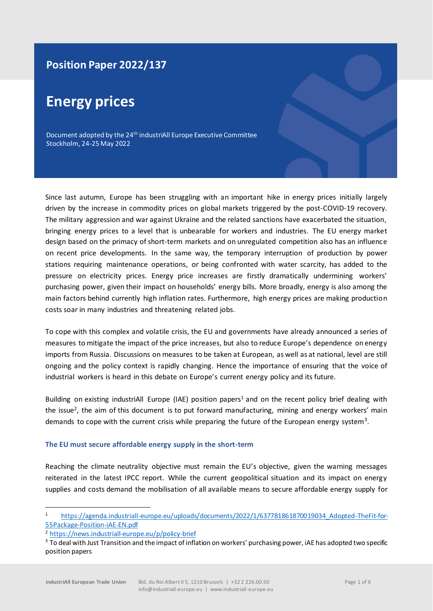# **Position Paper 2022/137**

# **Energy prices**

Document adopted by the 24<sup>th</sup> industriAll Europe Executive Committee Stockholm, 24-25 May 2022

Since last autumn, Europe has been struggling with an important hike in energy prices initially largely driven by the increase in commodity prices on global markets triggered by the post-COVID-19 recovery. The military aggression and war against Ukraine and the related sanctions have exacerbated the situation, bringing energy prices to a level that is unbearable for workers and industries. The EU energy market design based on the primacy of short-term markets and on unregulated competition also has an influence on recent price developments. In the same way, the temporary interruption of production by power stations requiring maintenance operations, or being confronted with water scarcity, has added to the pressure on electricity prices. Energy price increases are firstly dramatically undermining workers' purchasing power, given their impact on households' energy bills. More broadly, energy is also among the main factors behind currently high inflation rates. Furthermore, high energy prices are making production costs soar in many industries and threatening related jobs.

To cope with this complex and volatile crisis, the EU and governments have already announced a series of measures to mitigate the impact of the price increases, but also to reduce Europe's dependence on energy imports from Russia. Discussions on measures to be taken at European, as well as at national, level are still ongoing and the policy context is rapidly changing. Hence the importance of ensuring that the voice of industrial workers is heard in this debate on Europe's current energy policy and its future.

Building on existing industriAll Europe (IAE) position papers<sup>1</sup> and on the recent policy brief dealing with the issue<sup>2</sup>, the aim of this document is to put forward manufacturing, mining and energy workers' main demands to cope with the current crisis while preparing the future of the European energy system<sup>3</sup>.

# **The EU must secure affordable energy supply in the short-term**

Reaching the climate neutrality objective must remain the EU's objective, given the warning messages reiterated in the latest IPCC report. While the current geopolitical situation and its impact on energy supplies and costs demand the mobilisation of all available means to secure affordable energy supply for

<sup>1</sup> https://agenda.industriall-europe.eu/uploads/documents/2022/1/637781861870019034 Adopted-TheFit-for-[55Package-Position-iAE-EN.pdf](https://agenda.industriall-europe.eu/uploads/documents/2022/1/637781861870019034_Adopted-TheFit-for-55Package-Position-iAE-EN.pdf)

<sup>2</sup> <https://news.industriall-europe.eu/p/policy-brief>

<sup>&</sup>lt;sup>3</sup> To deal with Just Transition and the impact of inflation on workers' purchasing power, iAE has adopted two specific position papers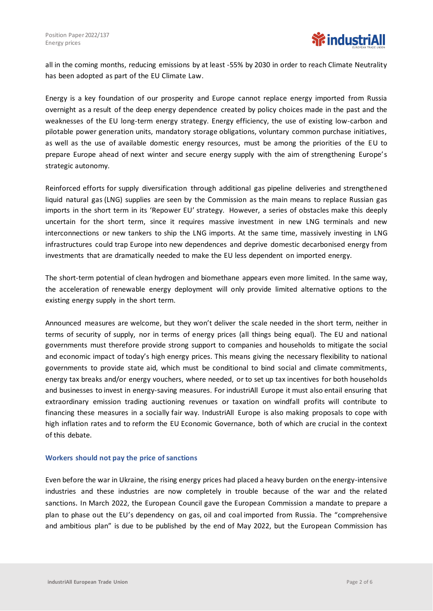all in the coming months, reducing emissions by at least -55% by 2030 in order to reach Climate Neutrality has been adopted as part of the EU Climate Law.

Energy is a key foundation of our prosperity and Europe cannot replace energy imported from Russia overnight as a result of the deep energy dependence created by policy choices made in the past and the weaknesses of the EU long-term energy strategy. Energy efficiency, the use of existing low-carbon and pilotable power generation units, mandatory storage obligations, voluntary common purchase initiatives, as well as the use of available domestic energy resources, must be among the priorities of the EU to prepare Europe ahead of next winter and secure energy supply with the aim of strengthening Europe's strategic autonomy.

Reinforced efforts for supply diversification through additional gas pipeline deliveries and strengthened liquid natural gas (LNG) supplies are seen by the Commission as the main means to replace Russian gas imports in the short term in its 'Repower EU' strategy. However, a series of obstacles make this deeply uncertain for the short term, since it requires massive investment in new LNG terminals and new interconnections or new tankers to ship the LNG imports. At the same time, massively investing in LNG infrastructures could trap Europe into new dependences and deprive domestic decarbonised energy from investments that are dramatically needed to make the EU less dependent on imported energy.

The short-term potential of clean hydrogen and biomethane appears even more limited. In the same way, the acceleration of renewable energy deployment will only provide limited alternative options to the existing energy supply in the short term.

Announced measures are welcome, but they won't deliver the scale needed in the short term, neither in terms of security of supply, nor in terms of energy prices (all things being equal). The EU and national governments must therefore provide strong support to companies and households to mitigate the social and economic impact of today's high energy prices. This means giving the necessary flexibility to national governments to provide state aid, which must be conditional to bind social and climate commitments, energy tax breaks and/or energy vouchers, where needed, or to set up tax incentives for both households and businesses to invest in energy-saving measures. For industriAll Europe it must also entail ensuring that extraordinary emission trading auctioning revenues or taxation on windfall profits will contribute to financing these measures in a socially fair way. IndustriAll Europe is also making proposals to cope with high inflation rates and to reform the EU Economic Governance, both of which are crucial in the context of this debate.

# **Workers should not pay the price of sanctions**

Even before the war in Ukraine, the rising energy prices had placed a heavy burden on the energy-intensive industries and these industries are now completely in trouble because of the war and the related sanctions. In March 2022, the European Council gave the European Commission a mandate to prepare a plan to phase out the EU's dependency on gas, oil and coal imported from Russia. The "comprehensive and ambitious plan" is due to be published by the end of May 2022, but the European Commission has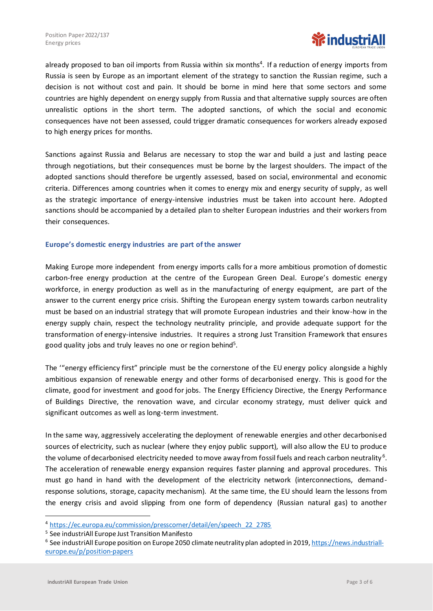

already proposed to ban oil imports from Russia within six months<sup>4</sup>. If a reduction of energy imports from Russia is seen by Europe as an important element of the strategy to sanction the Russian regime, such a decision is not without cost and pain. It should be borne in mind here that some sectors and some countries are highly dependent on energy supply from Russia and that alternative supply sources are often unrealistic options in the short term. The adopted sanctions, of which the social and economic consequences have not been assessed, could trigger dramatic consequences for workers already exposed to high energy prices for months.

Sanctions against Russia and Belarus are necessary to stop the war and build a just and lasting peace through negotiations, but their consequences must be borne by the largest shoulders. The impact of the adopted sanctions should therefore be urgently assessed, based on social, environmental and economic criteria. Differences among countries when it comes to energy mix and energy security of supply, as well as the strategic importance of energy-intensive industries must be taken into account here. Adopted sanctions should be accompanied by a detailed plan to shelter European industries and their workers from their consequences.

#### **Europe's domestic energy industries are part of the answer**

Making Europe more independent from energy imports calls for a more ambitious promotion of domestic carbon-free energy production at the centre of the European Green Deal. Europe's domestic energy workforce, in energy production as well as in the manufacturing of energy equipment, are part of the answer to the current energy price crisis. Shifting the European energy system towards carbon neutrality must be based on an industrial strategy that will promote European industries and their know-how in the energy supply chain, respect the technology neutrality principle, and provide adequate support for the transformation of energy-intensive industries. It requires a strong Just Transition Framework that ensures good quality jobs and truly leaves no one or region behind<sup>5</sup>.

The '"energy efficiency first" principle must be the cornerstone of the EU energy policy alongside a highly ambitious expansion of renewable energy and other forms of decarbonised energy. This is good for the climate, good for investment and good for jobs. The Energy Efficiency Directive, the Energy Performance of Buildings Directive, the renovation wave, and circular economy strategy, must deliver quick and significant outcomes as well as long-term investment.

In the same way, aggressively accelerating the deployment of renewable energies and other decarbonised sources of electricity, such as nuclear (where they enjoy public support), will also allow the EU to produce the volume of decarbonised electricity needed to move away from fossil fuels and reach carbon neutrality<sup>6</sup>. The acceleration of renewable energy expansion requires faster planning and approval procedures. This must go hand in hand with the development of the electricity network (interconnections, demandresponse solutions, storage, capacity mechanism). At the same time, the EU should learn the lessons from the energy crisis and avoid slipping from one form of dependency (Russian natural gas) to another

<sup>4</sup> [https://ec.europa.eu/commission/presscorner/detail/en/speech\\_22\\_2785](https://ec.europa.eu/commission/presscorner/detail/en/speech_22_2785)

<sup>&</sup>lt;sup>5</sup> See industriAll Europe Just Transition Manifesto

<sup>&</sup>lt;sup>6</sup> See industriAll Europe position on Europe 2050 climate neutrality plan adopted in 2019, <u>https://news.industriall-</u> [europe.eu/p/position-papers](https://news.industriall-europe.eu/p/position-papers)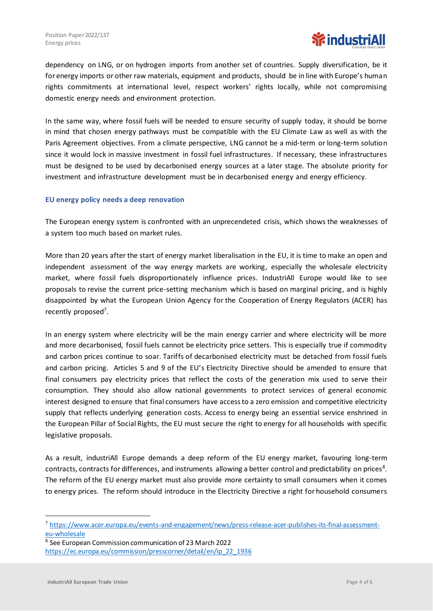

dependency on LNG, or on hydrogen imports from another set of countries. Supply diversification, be it for energy imports or other raw materials, equipment and products, should be in line with Europe's human rights commitments at international level, respect workers' rights locally, while not compromising domestic energy needs and environment protection.

In the same way, where fossil fuels will be needed to ensure security of supply today, it should be borne in mind that chosen energy pathways must be compatible with the EU Climate Law as well as with the Paris Agreement objectives. From a climate perspective, LNG cannot be a mid-term or long-term solution since it would lock in massive investment in fossil fuel infrastructures. If necessary, these infrastructures must be designed to be used by decarbonised energy sources at a later stage. The absolute priority for investment and infrastructure development must be in decarbonised energy and energy efficiency.

#### **EU energy policy needs a deep renovation**

The European energy system is confronted with an unprecendeted crisis, which shows the weaknesses of a system too much based on market rules.

More than 20 years after the start of energy market liberalisation in the EU, it is time to make an open and independent assessment of the way energy markets are working, especially the wholesale electricity market, where fossil fuels disproportionately influence prices. IndustriAll Europe would like to see proposals to revise the current price-setting mechanism which is based on marginal pricing, and is highly disappointed by what the European Union Agency for the Cooperation of Energy Regulators (ACER) has recently proposed<sup>7</sup>.

In an energy system where electricity will be the main energy carrier and where electricity will be more and more decarbonised, fossil fuels cannot be electricity price setters. This is especially true if commodity and carbon prices continue to soar. Tariffs of decarbonised electricity must be detached from fossil fuels and carbon pricing. Articles 5 and 9 of the EU's Electricity Directive should be amended to ensure that final consumers pay electricity prices that reflect the costs of the generation mix used to serve their consumption. They should also allow national governments to protect services of general economic interest designed to ensure that final consumers have accessto a zero emission and competitive electricity supply that reflects underlying generation costs. Access to energy being an essential service enshrined in the European Pillar of Social Rights, the EU must secure the right to energy for all households with specific legislative proposals.

As a result, industriAll Europe demands a deep reform of the EU energy market, favouring long-term contracts, contracts for differences, and instruments allowing a better control and predictability on prices<sup>8</sup>. The reform of the EU energy market must also provide more certainty to small consumers when it comes to energy prices. The reform should introduce in the Electricity Directive a right for household consumers

8 See European Commission communication of 23 March 2022 [https://ec.europa.eu/commission/presscorner/detail/en/ip\\_22\\_1936](https://ec.europa.eu/commission/presscorner/detail/en/ip_22_1936)

<sup>7</sup> [https://www.acer.europa.eu/events-and-engagement/news/press-release-acer-publishes-its-final-assessment](https://www.acer.europa.eu/events-and-engagement/news/press-release-acer-publishes-its-final-assessment-eu-wholesale)[eu-wholesale](https://www.acer.europa.eu/events-and-engagement/news/press-release-acer-publishes-its-final-assessment-eu-wholesale)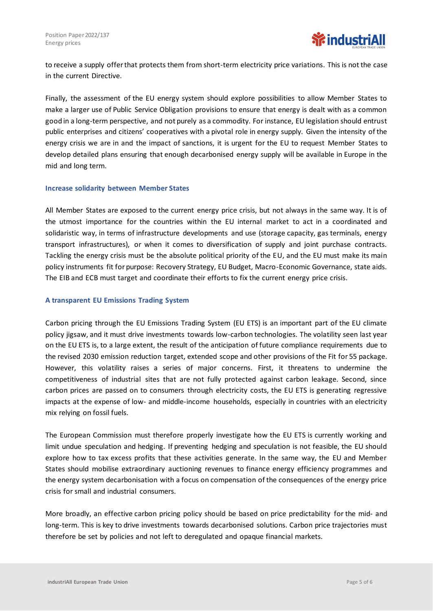to receive a supply offer that protects them from short-term electricity price variations. This is not the case in the current Directive.

Finally, the assessment of the EU energy system should explore possibilities to allow Member States to make a larger use of Public Service Obligation provisions to ensure that energy is dealt with as a common good in a long-term perspective, and not purely as a commodity. For instance, EU legislation should entrust public enterprises and citizens' cooperatives with a pivotal role in energy supply. Given the intensity of the energy crisis we are in and the impact of sanctions, it is urgent for the EU to request Member States to develop detailed plans ensuring that enough decarbonised energy supply will be available in Europe in the mid and long term.

#### **Increase solidarity between Member States**

All Member States are exposed to the current energy price crisis, but not always in the same way. It is of the utmost importance for the countries within the EU internal market to act in a coordinated and solidaristic way, in terms of infrastructure developments and use (storage capacity, gas terminals, energy transport infrastructures), or when it comes to diversification of supply and joint purchase contracts. Tackling the energy crisis must be the absolute political priority of the EU, and the EU must make its main policy instruments fit for purpose: Recovery Strategy, EU Budget, Macro-Economic Governance, state aids. The EIB and ECB must target and coordinate their efforts to fix the current energy price crisis.

# **A transparent EU Emissions Trading System**

Carbon pricing through the EU Emissions Trading System (EU ETS) is an important part of the EU climate policy jigsaw, and it must drive investments towards low-carbon technologies. The volatility seen last year on the EU ETS is, to a large extent, the result of the anticipation of future compliance requirements due to the revised 2030 emission reduction target, extended scope and other provisions of the Fit for 55 package. However, this volatility raises a series of major concerns. First, it threatens to undermine the competitiveness of industrial sites that are not fully protected against carbon leakage. Second, since carbon prices are passed on to consumers through electricity costs, the EU ETS is generating regressive impacts at the expense of low- and middle-income households, especially in countries with an electricity mix relying on fossil fuels.

The European Commission must therefore properly investigate how the EU ETS is currently working and limit undue speculation and hedging. If preventing hedging and speculation is not feasible, the EU should explore how to tax excess profits that these activities generate. In the same way, the EU and Member States should mobilise extraordinary auctioning revenues to finance energy efficiency programmes and the energy system decarbonisation with a focus on compensation of the consequences of the energy price crisis for small and industrial consumers.

More broadly, an effective carbon pricing policy should be based on price predictability for the mid- and long-term. This is key to drive investments towards decarbonised solutions. Carbon price trajectories must therefore be set by policies and not left to deregulated and opaque financial markets.